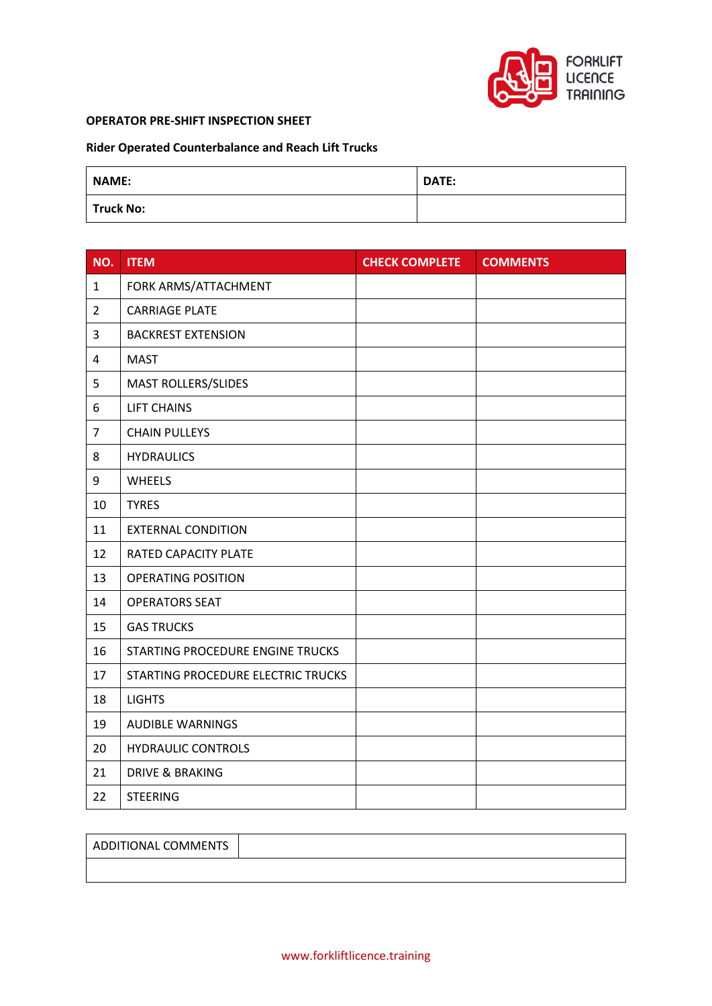

## **OPERATOR PRE-SHIFT INSPECTION SHEET**

## **Rider Operated Counterbalance and Reach Lift Trucks**

| <b>NAME:</b>     | DATE: |
|------------------|-------|
| <b>Truck No:</b> |       |

| NO.              | <b>ITEM</b>                        | <b>CHECK COMPLETE</b> | <b>COMMENTS</b> |
|------------------|------------------------------------|-----------------------|-----------------|
| $\mathbf{1}$     | FORK ARMS/ATTACHMENT               |                       |                 |
| $\overline{2}$   | <b>CARRIAGE PLATE</b>              |                       |                 |
| 3                | <b>BACKREST EXTENSION</b>          |                       |                 |
| $\overline{4}$   | <b>MAST</b>                        |                       |                 |
| 5                | MAST ROLLERS/SLIDES                |                       |                 |
| 6                | <b>LIFT CHAINS</b>                 |                       |                 |
| $\overline{7}$   | <b>CHAIN PULLEYS</b>               |                       |                 |
| 8                | <b>HYDRAULICS</b>                  |                       |                 |
| $\boldsymbol{9}$ | <b>WHEELS</b>                      |                       |                 |
| 10               | <b>TYRES</b>                       |                       |                 |
| 11               | <b>EXTERNAL CONDITION</b>          |                       |                 |
| 12               | RATED CAPACITY PLATE               |                       |                 |
| 13               | <b>OPERATING POSITION</b>          |                       |                 |
| 14               | <b>OPERATORS SEAT</b>              |                       |                 |
| 15               | <b>GAS TRUCKS</b>                  |                       |                 |
| 16               | STARTING PROCEDURE ENGINE TRUCKS   |                       |                 |
| 17               | STARTING PROCEDURE ELECTRIC TRUCKS |                       |                 |
| 18               | <b>LIGHTS</b>                      |                       |                 |
| 19               | <b>AUDIBLE WARNINGS</b>            |                       |                 |
| 20               | <b>HYDRAULIC CONTROLS</b>          |                       |                 |
| 21               | <b>DRIVE &amp; BRAKING</b>         |                       |                 |
| 22               | <b>STEERING</b>                    |                       |                 |

ADDITIONAL COMMENTS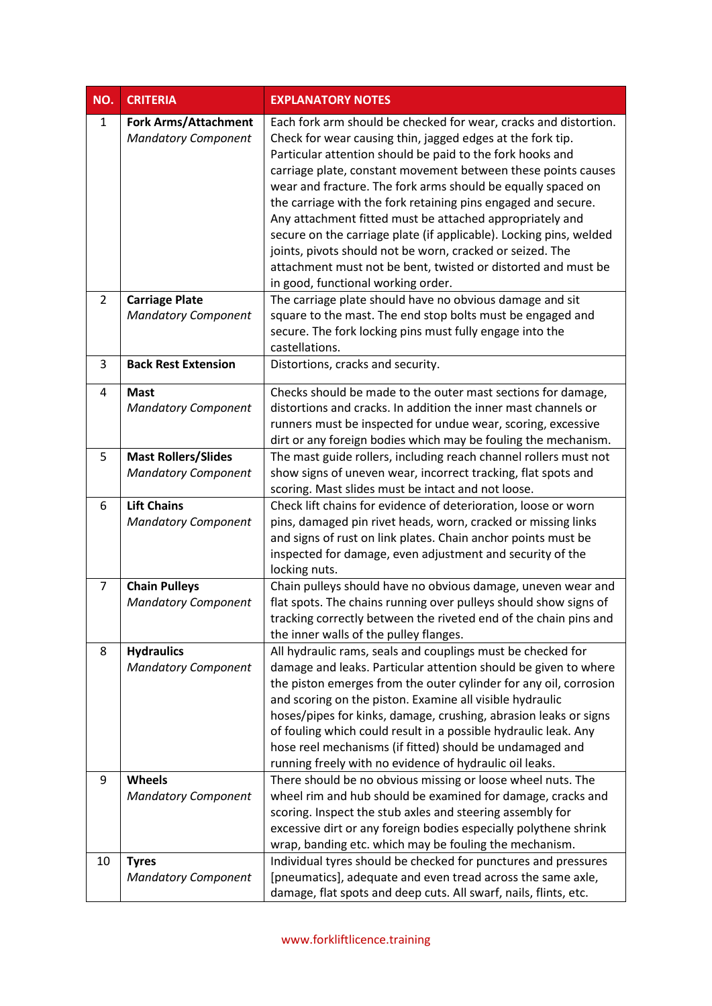| NO.            | <b>CRITERIA</b>                                           | <b>EXPLANATORY NOTES</b>                                                                                                                                                                                                                                                                                                                                                                                                                                                                                                                                                                                                                                                                            |
|----------------|-----------------------------------------------------------|-----------------------------------------------------------------------------------------------------------------------------------------------------------------------------------------------------------------------------------------------------------------------------------------------------------------------------------------------------------------------------------------------------------------------------------------------------------------------------------------------------------------------------------------------------------------------------------------------------------------------------------------------------------------------------------------------------|
| $\mathbf{1}$   | <b>Fork Arms/Attachment</b><br><b>Mandatory Component</b> | Each fork arm should be checked for wear, cracks and distortion.<br>Check for wear causing thin, jagged edges at the fork tip.<br>Particular attention should be paid to the fork hooks and<br>carriage plate, constant movement between these points causes<br>wear and fracture. The fork arms should be equally spaced on<br>the carriage with the fork retaining pins engaged and secure.<br>Any attachment fitted must be attached appropriately and<br>secure on the carriage plate (if applicable). Locking pins, welded<br>joints, pivots should not be worn, cracked or seized. The<br>attachment must not be bent, twisted or distorted and must be<br>in good, functional working order. |
| $\overline{2}$ | <b>Carriage Plate</b><br><b>Mandatory Component</b>       | The carriage plate should have no obvious damage and sit<br>square to the mast. The end stop bolts must be engaged and<br>secure. The fork locking pins must fully engage into the<br>castellations.                                                                                                                                                                                                                                                                                                                                                                                                                                                                                                |
| 3              | <b>Back Rest Extension</b>                                | Distortions, cracks and security.                                                                                                                                                                                                                                                                                                                                                                                                                                                                                                                                                                                                                                                                   |
| 4              | <b>Mast</b><br><b>Mandatory Component</b>                 | Checks should be made to the outer mast sections for damage,<br>distortions and cracks. In addition the inner mast channels or<br>runners must be inspected for undue wear, scoring, excessive<br>dirt or any foreign bodies which may be fouling the mechanism.                                                                                                                                                                                                                                                                                                                                                                                                                                    |
| 5              | <b>Mast Rollers/Slides</b><br><b>Mandatory Component</b>  | The mast guide rollers, including reach channel rollers must not<br>show signs of uneven wear, incorrect tracking, flat spots and<br>scoring. Mast slides must be intact and not loose.                                                                                                                                                                                                                                                                                                                                                                                                                                                                                                             |
| 6              | <b>Lift Chains</b><br><b>Mandatory Component</b>          | Check lift chains for evidence of deterioration, loose or worn<br>pins, damaged pin rivet heads, worn, cracked or missing links<br>and signs of rust on link plates. Chain anchor points must be<br>inspected for damage, even adjustment and security of the<br>locking nuts.                                                                                                                                                                                                                                                                                                                                                                                                                      |
| 7              | <b>Chain Pulleys</b><br><b>Mandatory Component</b>        | Chain pulleys should have no obvious damage, uneven wear and<br>flat spots. The chains running over pulleys should show signs of<br>tracking correctly between the riveted end of the chain pins and<br>the inner walls of the pulley flanges.                                                                                                                                                                                                                                                                                                                                                                                                                                                      |
| 8              | <b>Hydraulics</b><br><b>Mandatory Component</b>           | All hydraulic rams, seals and couplings must be checked for<br>damage and leaks. Particular attention should be given to where<br>the piston emerges from the outer cylinder for any oil, corrosion<br>and scoring on the piston. Examine all visible hydraulic<br>hoses/pipes for kinks, damage, crushing, abrasion leaks or signs<br>of fouling which could result in a possible hydraulic leak. Any<br>hose reel mechanisms (if fitted) should be undamaged and<br>running freely with no evidence of hydraulic oil leaks.                                                                                                                                                                       |
| 9              | Wheels<br><b>Mandatory Component</b>                      | There should be no obvious missing or loose wheel nuts. The<br>wheel rim and hub should be examined for damage, cracks and<br>scoring. Inspect the stub axles and steering assembly for<br>excessive dirt or any foreign bodies especially polythene shrink<br>wrap, banding etc. which may be fouling the mechanism.                                                                                                                                                                                                                                                                                                                                                                               |
| 10             | <b>Tyres</b><br><b>Mandatory Component</b>                | Individual tyres should be checked for punctures and pressures<br>[pneumatics], adequate and even tread across the same axle,<br>damage, flat spots and deep cuts. All swarf, nails, flints, etc.                                                                                                                                                                                                                                                                                                                                                                                                                                                                                                   |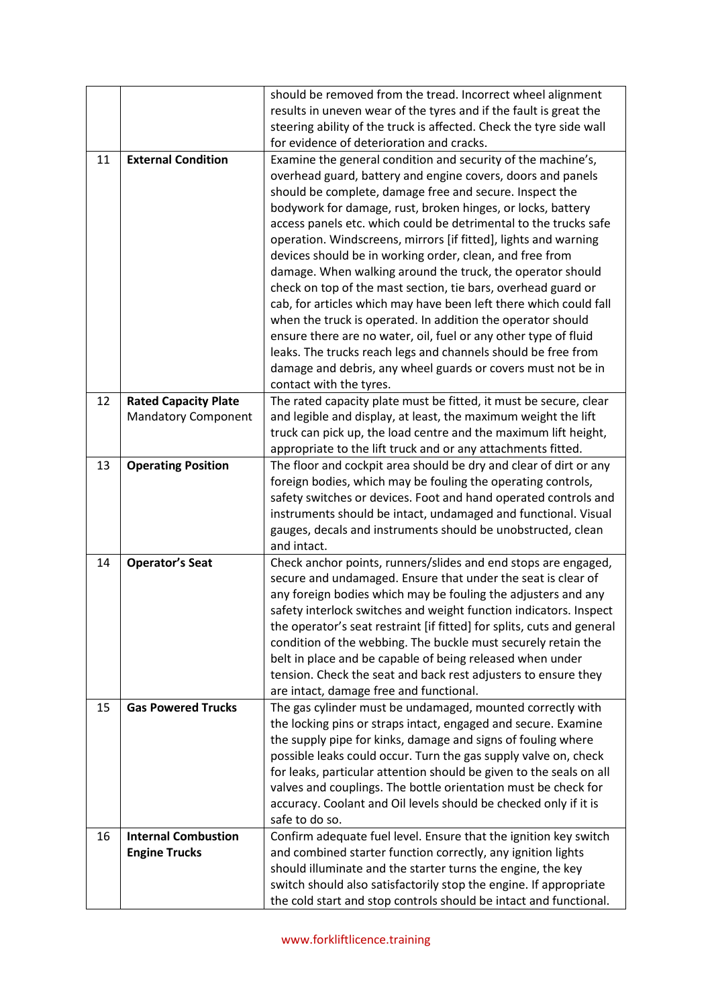|    |                                                           | should be removed from the tread. Incorrect wheel alignment<br>results in uneven wear of the tyres and if the fault is great the<br>steering ability of the truck is affected. Check the tyre side wall<br>for evidence of deterioration and cracks.                                                                                                                                                                                                                                                                                                                                                                                                                                                                                                                                                                                                                                                                                                       |
|----|-----------------------------------------------------------|------------------------------------------------------------------------------------------------------------------------------------------------------------------------------------------------------------------------------------------------------------------------------------------------------------------------------------------------------------------------------------------------------------------------------------------------------------------------------------------------------------------------------------------------------------------------------------------------------------------------------------------------------------------------------------------------------------------------------------------------------------------------------------------------------------------------------------------------------------------------------------------------------------------------------------------------------------|
| 11 | <b>External Condition</b>                                 | Examine the general condition and security of the machine's,<br>overhead guard, battery and engine covers, doors and panels<br>should be complete, damage free and secure. Inspect the<br>bodywork for damage, rust, broken hinges, or locks, battery<br>access panels etc. which could be detrimental to the trucks safe<br>operation. Windscreens, mirrors [if fitted], lights and warning<br>devices should be in working order, clean, and free from<br>damage. When walking around the truck, the operator should<br>check on top of the mast section, tie bars, overhead guard or<br>cab, for articles which may have been left there which could fall<br>when the truck is operated. In addition the operator should<br>ensure there are no water, oil, fuel or any other type of fluid<br>leaks. The trucks reach legs and channels should be free from<br>damage and debris, any wheel guards or covers must not be in<br>contact with the tyres. |
| 12 | <b>Rated Capacity Plate</b><br><b>Mandatory Component</b> | The rated capacity plate must be fitted, it must be secure, clear<br>and legible and display, at least, the maximum weight the lift<br>truck can pick up, the load centre and the maximum lift height,<br>appropriate to the lift truck and or any attachments fitted.                                                                                                                                                                                                                                                                                                                                                                                                                                                                                                                                                                                                                                                                                     |
| 13 | <b>Operating Position</b>                                 | The floor and cockpit area should be dry and clear of dirt or any<br>foreign bodies, which may be fouling the operating controls,<br>safety switches or devices. Foot and hand operated controls and<br>instruments should be intact, undamaged and functional. Visual<br>gauges, decals and instruments should be unobstructed, clean<br>and intact.                                                                                                                                                                                                                                                                                                                                                                                                                                                                                                                                                                                                      |
| 14 | <b>Operator's Seat</b>                                    | Check anchor points, runners/slides and end stops are engaged,<br>secure and undamaged. Ensure that under the seat is clear of<br>any foreign bodies which may be fouling the adjusters and any<br>safety interlock switches and weight function indicators. Inspect<br>the operator's seat restraint [if fitted] for splits, cuts and general<br>condition of the webbing. The buckle must securely retain the<br>belt in place and be capable of being released when under<br>tension. Check the seat and back rest adjusters to ensure they<br>are intact, damage free and functional.                                                                                                                                                                                                                                                                                                                                                                  |
| 15 | <b>Gas Powered Trucks</b>                                 | The gas cylinder must be undamaged, mounted correctly with<br>the locking pins or straps intact, engaged and secure. Examine<br>the supply pipe for kinks, damage and signs of fouling where<br>possible leaks could occur. Turn the gas supply valve on, check<br>for leaks, particular attention should be given to the seals on all<br>valves and couplings. The bottle orientation must be check for<br>accuracy. Coolant and Oil levels should be checked only if it is<br>safe to do so.                                                                                                                                                                                                                                                                                                                                                                                                                                                             |
| 16 | <b>Internal Combustion</b><br><b>Engine Trucks</b>        | Confirm adequate fuel level. Ensure that the ignition key switch<br>and combined starter function correctly, any ignition lights<br>should illuminate and the starter turns the engine, the key<br>switch should also satisfactorily stop the engine. If appropriate<br>the cold start and stop controls should be intact and functional.                                                                                                                                                                                                                                                                                                                                                                                                                                                                                                                                                                                                                  |